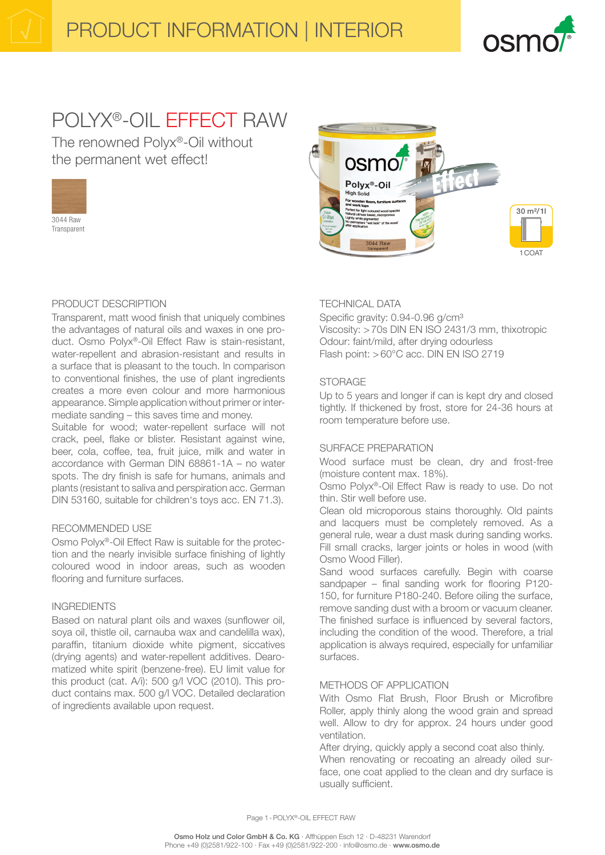

# POLYX®-OIL EFFECT RAW

The renowned Polyx®-Oil without the permanent wet effect!





## PRODUCT DESCRIPTION

Transparent, matt wood finish that uniquely combines the advantages of natural oils and waxes in one product. Osmo Polyx®-Oil Effect Raw is stain-resistant, water-repellent and abrasion-resistant and results in a surface that is pleasant to the touch. In comparison to conventional finishes, the use of plant ingredients creates a more even colour and more harmonious appearance. Simple application without primer or intermediate sanding – this saves time and money.

Suitable for wood; water-repellent surface will not crack, peel, flake or blister. Resistant against wine, beer, cola, coffee, tea, fruit juice, milk and water in accordance with German DIN 68861-1A – no water spots. The dry finish is safe for humans, animals and plants (resistant to saliva and perspiration acc. German DIN 53160, suitable for children's toys acc. EN 71.3).

#### RECOMMENDED USE

Osmo Polyx®-Oil Effect Raw is suitable for the protection and the nearly invisible surface finishing of lightly coloured wood in indoor areas, such as wooden flooring and furniture surfaces.

#### INGREDIENTS

Based on natural plant oils and waxes (sunflower oil, soya oil, thistle oil, carnauba wax and candelilla wax), paraffin, titanium dioxide white pigment, siccatives (drying agents) and water-repellent additives. Dearomatized white spirit (benzene-free). EU limit value for this product (cat. A/i): 500 g/l VOC (2010). This product contains max. 500 g/l VOC. Detailed declaration of ingredients available upon request.

## TECHNICAL DATA

Specific gravity: 0.94-0.96 g/cm<sup>3</sup> Viscosity: >70s DIN EN ISO 2431/3 mm, thixotropic Odour: faint/mild, after drying odourless Flash point: >60°C acc. DIN EN ISO 2719

## STORAGE

Up to 5 years and longer if can is kept dry and closed tightly. If thickened by frost, store for 24-36 hours at room temperature before use.

## SURFACE PREPARATION

Wood surface must be clean, dry and frost-free (moisture content max. 18%).

Osmo Polyx®-Oil Effect Raw is ready to use. Do not thin. Stir well before use.

Clean old microporous stains thoroughly. Old paints and lacquers must be completely removed. As a general rule, wear a dust mask during sanding works. Fill small cracks, larger joints or holes in wood (with Osmo Wood Filler).

Sand wood surfaces carefully. Begin with coarse sandpaper – final sanding work for flooring P120- 150, for furniture P180-240. Before oiling the surface, remove sanding dust with a broom or vacuum cleaner. The finished surface is influenced by several factors, including the condition of the wood. Therefore, a trial application is always required, especially for unfamiliar surfaces.

## METHODS OF APPLICATION

With Osmo Flat Brush, Floor Brush or Microfibre Roller, apply thinly along the wood grain and spread well. Allow to dry for approx. 24 hours under good ventilation.

After drying, quickly apply a second coat also thinly. When renovating or recoating an already oiled surface, one coat applied to the clean and dry surface is usually sufficient.

Page 1-POLYX®-OIL EFFECT RAW